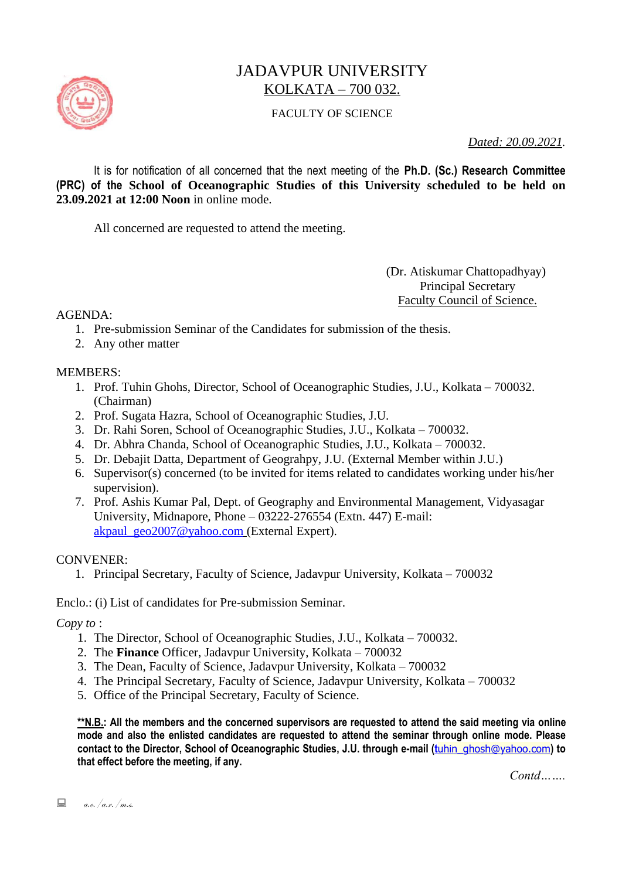

# JADAVPUR UNIVERSITY KOLKATA – 700 032.

### FACULTY OF SCIENCE

*Dated: 20.09.2021.*

It is for notification of all concerned that the next meeting of the **Ph.D. (Sc.) Research Committee (PRC) of the School of Oceanographic Studies of this University scheduled to be held on 23.09.2021 at 12:00 Noon** in online mode.

All concerned are requested to attend the meeting.

 (Dr. Atiskumar Chattopadhyay) Principal Secretary Faculty Council of Science.

 $AGENDA$ 

- 1. Pre-submission Seminar of the Candidates for submission of the thesis.
- 2. Any other matter

#### MEMBERS:

- 1. Prof. Tuhin Ghohs, Director, School of Oceanographic Studies, J.U., Kolkata 700032. (Chairman)
- 2. Prof. Sugata Hazra, School of Oceanographic Studies, J.U.
- 3. Dr. Rahi Soren, School of Oceanographic Studies, J.U., Kolkata 700032.
- 4. Dr. Abhra Chanda, School of Oceanographic Studies, J.U., Kolkata 700032.
- 5. Dr. Debajit Datta, Department of Geograhpy, J.U. (External Member within J.U.)
- 6. Supervisor(s) concerned (to be invited for items related to candidates working under his/her supervision).
- 7. Prof. Ashis Kumar Pal, Dept. of Geography and Environmental Management, Vidyasagar University, Midnapore, Phone – 03222-276554 (Extn. 447) E-mail: [akpaul\\_geo2007@yahoo.com](mailto:akpaul_geo2007@yahoo.com%20(External) (External Expert).

#### CONVENER:

1. Principal Secretary, Faculty of Science, Jadavpur University, Kolkata – 700032

Enclo.: (i) List of candidates for Pre-submission Seminar.

*Copy to* :

- 1. The Director, School of Oceanographic Studies, J.U., Kolkata 700032.
- 2. The **Finance** Officer, Jadavpur University, Kolkata 700032
- 3. The Dean, Faculty of Science, Jadavpur University, Kolkata 700032
- 4. The Principal Secretary, Faculty of Science, Jadavpur University, Kolkata 700032
- 5. Office of the Principal Secretary, Faculty of Science.

**\*\*N.B.: All the members and the concerned supervisors are requested to attend the said meeting via online mode and also the enlisted candidates are requested to attend the seminar through online mode. Please contact to the Director, School of Oceanographic Studies, J.U. through e-mail (t**[uhin\\_ghosh@yahoo.com](mailto:tuhin_ghosh@yahoo.com)**) to that effect before the meeting, if any.**

*Contd…….*